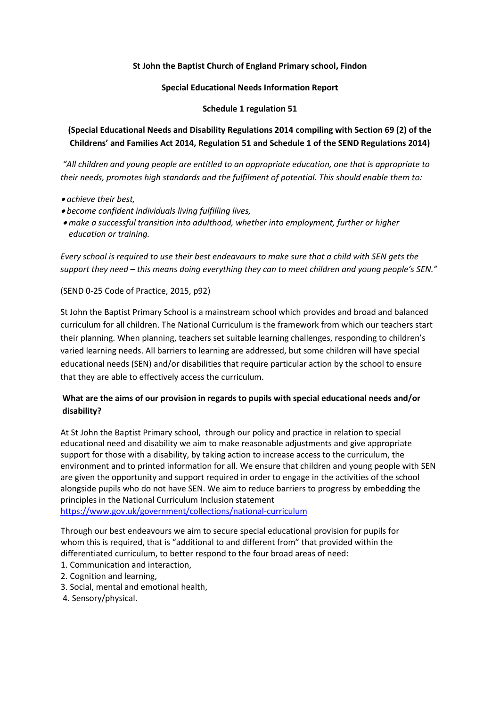### **St John the Baptist Church of England Primary school, Findon**

#### **Special Educational Needs Information Report**

#### **Schedule 1 regulation 51**

## **(Special Educational Needs and Disability Regulations 2014 compiling with Section 69 (2) of the Childrens' and Families Act 2014, Regulation 51 and Schedule 1 of the SEND Regulations 2014)**

*"All children and young people are entitled to an appropriate education, one that is appropriate to their needs, promotes high standards and the fulfilment of potential. This should enable them to:* 

*achieve their best,* 

- *become confident individuals living fulfilling lives,*
- *make a successful transition into adulthood, whether into employment, further or higher education or training.*

*Every school is required to use their best endeavours to make sure that a child with SEN gets the support they need – this means doing everything they can to meet children and young people's SEN."* 

(SEND 0-25 Code of Practice, 2015, p92)

St John the Baptist Primary School is a mainstream school which provides and broad and balanced curriculum for all children. The National Curriculum is the framework from which our teachers start their planning. When planning, teachers set suitable learning challenges, responding to children's varied learning needs. All barriers to learning are addressed, but some children will have special educational needs (SEN) and/or disabilities that require particular action by the school to ensure that they are able to effectively access the curriculum.

## **What are the aims of our provision in regards to pupils with special educational needs and/or disability?**

At St John the Baptist Primary school, through our policy and practice in relation to special educational need and disability we aim to make reasonable adjustments and give appropriate support for those with a disability, by taking action to increase access to the curriculum, the environment and to printed information for all. We ensure that children and young people with SEN are given the opportunity and support required in order to engage in the activities of the school alongside pupils who do not have SEN. We aim to reduce barriers to progress by embedding the principles in the National Curriculum Inclusion statement

<https://www.gov.uk/government/collections/national-curriculum>

Through our best endeavours we aim to secure special educational provision for pupils for whom this is required, that is "additional to and different from" that provided within the differentiated curriculum, to better respond to the four broad areas of need:

- 1. Communication and interaction,
- 2. Cognition and learning,
- 3. Social, mental and emotional health,
- 4. Sensory/physical.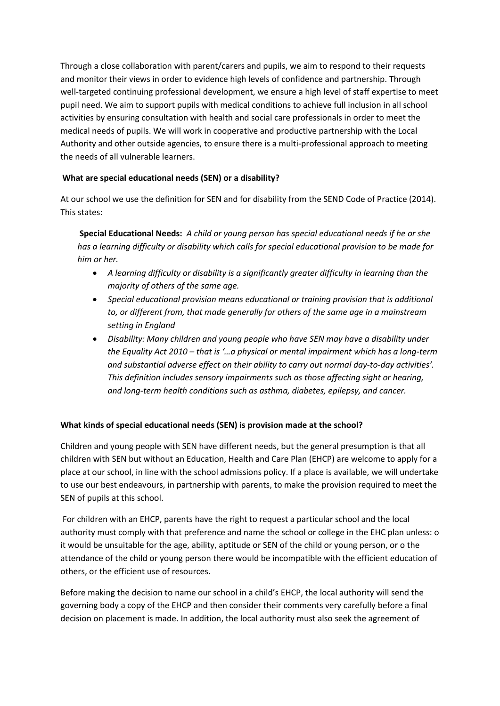Through a close collaboration with parent/carers and pupils, we aim to respond to their requests and monitor their views in order to evidence high levels of confidence and partnership. Through well-targeted continuing professional development, we ensure a high level of staff expertise to meet pupil need. We aim to support pupils with medical conditions to achieve full inclusion in all school activities by ensuring consultation with health and social care professionals in order to meet the medical needs of pupils. We will work in cooperative and productive partnership with the Local Authority and other outside agencies, to ensure there is a multi-professional approach to meeting the needs of all vulnerable learners.

### **What are special educational needs (SEN) or a disability?**

At our school we use the definition for SEN and for disability from the SEND Code of Practice (2014). This states:

**Special Educational Needs:** *A child or young person has special educational needs if he or she has a learning difficulty or disability which calls for special educational provision to be made for him or her.*

- *A learning difficulty or disability is a significantly greater difficulty in learning than the majority of others of the same age.*
- *Special educational provision means educational or training provision that is additional to, or different from, that made generally for others of the same age in a mainstream setting in England*
- *Disability: Many children and young people who have SEN may have a disability under the Equality Act 2010 – that is '…a physical or mental impairment which has a long-term and substantial adverse effect on their ability to carry out normal day-to-day activities'. This definition includes sensory impairments such as those affecting sight or hearing, and long-term health conditions such as asthma, diabetes, epilepsy, and cancer.*

## **What kinds of special educational needs (SEN) is provision made at the school?**

Children and young people with SEN have different needs, but the general presumption is that all children with SEN but without an Education, Health and Care Plan (EHCP) are welcome to apply for a place at our school, in line with the school admissions policy. If a place is available, we will undertake to use our best endeavours, in partnership with parents, to make the provision required to meet the SEN of pupils at this school.

For children with an EHCP, parents have the right to request a particular school and the local authority must comply with that preference and name the school or college in the EHC plan unless: o it would be unsuitable for the age, ability, aptitude or SEN of the child or young person, or o the attendance of the child or young person there would be incompatible with the efficient education of others, or the efficient use of resources.

Before making the decision to name our school in a child's EHCP, the local authority will send the governing body a copy of the EHCP and then consider their comments very carefully before a final decision on placement is made. In addition, the local authority must also seek the agreement of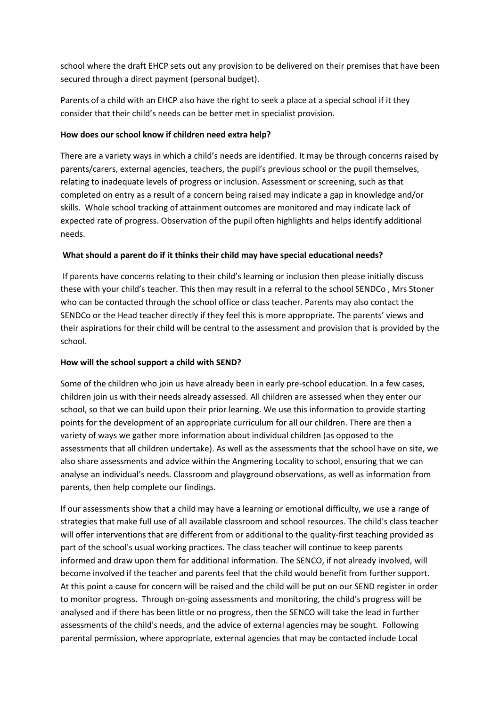school where the draft EHCP sets out any provision to be delivered on their premises that have been secured through a direct payment (personal budget).

Parents of a child with an EHCP also have the right to seek a place at a special school if it they consider that their child's needs can be better met in specialist provision.

### **How does our school know if children need extra help?**

There are a variety ways in which a child's needs are identified. It may be through concerns raised by parents/carers, external agencies, teachers, the pupil's previous school or the pupil themselves, relating to inadequate levels of progress or inclusion. Assessment or screening, such as that completed on entry as a result of a concern being raised may indicate a gap in knowledge and/or skills. Whole school tracking of attainment outcomes are monitored and may indicate lack of expected rate of progress. Observation of the pupil often highlights and helps identify additional needs.

### **What should a parent do if it thinks their child may have special educational needs?**

If parents have concerns relating to their child's learning or inclusion then please initially discuss these with your child's teacher. This then may result in a referral to the school SENDCo , Mrs Stoner who can be contacted through the school office or class teacher. Parents may also contact the SENDCo or the Head teacher directly if they feel this is more appropriate. The parents' views and their aspirations for their child will be central to the assessment and provision that is provided by the school.

### **How will the school support a child with SEND?**

Some of the children who join us have already been in early pre-school education. In a few cases, children join us with their needs already assessed. All children are assessed when they enter our school, so that we can build upon their prior learning. We use this information to provide starting points for the development of an appropriate curriculum for all our children. There are then a variety of ways we gather more information about individual children (as opposed to the assessments that all children undertake). As well as the assessments that the school have on site, we also share assessments and advice within the Angmering Locality to school, ensuring that we can analyse an individual's needs. Classroom and playground observations, as well as information from parents, then help complete our findings.

If our assessments show that a child may have a learning or emotional difficulty, we use a range of strategies that make full use of all available classroom and school resources. The child's class teacher will offer interventions that are different from or additional to the quality-first teaching provided as part of the school's usual working practices. The class teacher will continue to keep parents informed and draw upon them for additional information. The SENCO, if not already involved, will become involved if the teacher and parents feel that the child would benefit from further support. At this point a cause for concern will be raised and the child will be put on our SEND register in order to monitor progress. Through on-going assessments and monitoring, the child's progress will be analysed and if there has been little or no progress, then the SENCO will take the lead in further assessments of the child's needs, and the advice of external agencies may be sought. Following parental permission, where appropriate, external agencies that may be contacted include Local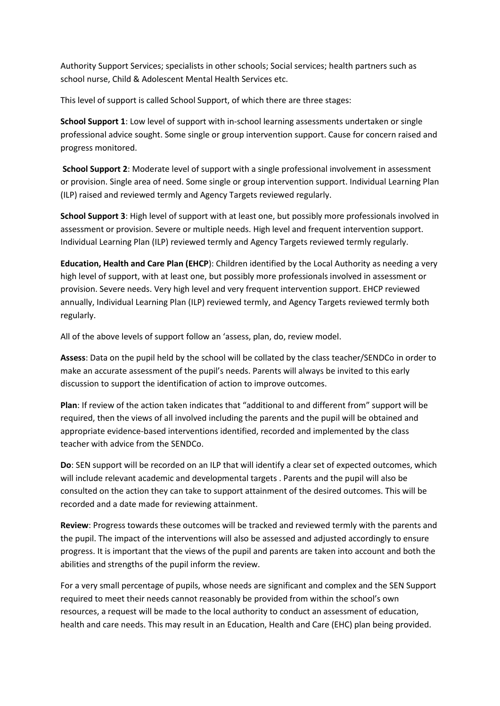Authority Support Services; specialists in other schools; Social services; health partners such as school nurse, Child & Adolescent Mental Health Services etc.

This level of support is called School Support, of which there are three stages:

**School Support 1**: Low level of support with in-school learning assessments undertaken or single professional advice sought. Some single or group intervention support. Cause for concern raised and progress monitored.

**School Support 2**: Moderate level of support with a single professional involvement in assessment or provision. Single area of need. Some single or group intervention support. Individual Learning Plan (ILP) raised and reviewed termly and Agency Targets reviewed regularly.

**School Support 3**: High level of support with at least one, but possibly more professionals involved in assessment or provision. Severe or multiple needs. High level and frequent intervention support. Individual Learning Plan (ILP) reviewed termly and Agency Targets reviewed termly regularly.

**Education, Health and Care Plan (EHCP**): Children identified by the Local Authority as needing a very high level of support, with at least one, but possibly more professionals involved in assessment or provision. Severe needs. Very high level and very frequent intervention support. EHCP reviewed annually, Individual Learning Plan (ILP) reviewed termly, and Agency Targets reviewed termly both regularly.

All of the above levels of support follow an 'assess, plan, do, review model.

**Assess**: Data on the pupil held by the school will be collated by the class teacher/SENDCo in order to make an accurate assessment of the pupil's needs. Parents will always be invited to this early discussion to support the identification of action to improve outcomes.

**Plan**: If review of the action taken indicates that "additional to and different from" support will be required, then the views of all involved including the parents and the pupil will be obtained and appropriate evidence-based interventions identified, recorded and implemented by the class teacher with advice from the SENDCo.

**Do**: SEN support will be recorded on an ILP that will identify a clear set of expected outcomes, which will include relevant academic and developmental targets . Parents and the pupil will also be consulted on the action they can take to support attainment of the desired outcomes. This will be recorded and a date made for reviewing attainment.

**Review**: Progress towards these outcomes will be tracked and reviewed termly with the parents and the pupil. The impact of the interventions will also be assessed and adjusted accordingly to ensure progress. It is important that the views of the pupil and parents are taken into account and both the abilities and strengths of the pupil inform the review.

For a very small percentage of pupils, whose needs are significant and complex and the SEN Support required to meet their needs cannot reasonably be provided from within the school's own resources, a request will be made to the local authority to conduct an assessment of education, health and care needs. This may result in an Education, Health and Care (EHC) plan being provided.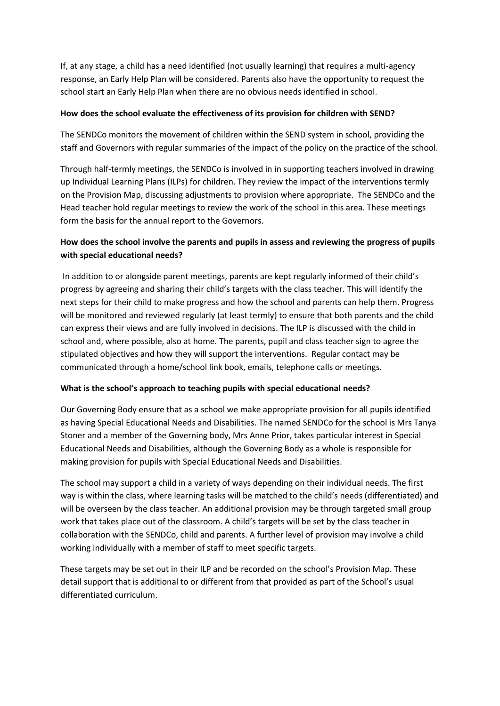If, at any stage, a child has a need identified (not usually learning) that requires a multi-agency response, an Early Help Plan will be considered. Parents also have the opportunity to request the school start an Early Help Plan when there are no obvious needs identified in school.

### **How does the school evaluate the effectiveness of its provision for children with SEND?**

The SENDCo monitors the movement of children within the SEND system in school, providing the staff and Governors with regular summaries of the impact of the policy on the practice of the school.

Through half-termly meetings, the SENDCo is involved in in supporting teachers involved in drawing up Individual Learning Plans (ILPs) for children. They review the impact of the interventions termly on the Provision Map, discussing adjustments to provision where appropriate. The SENDCo and the Head teacher hold regular meetings to review the work of the school in this area. These meetings form the basis for the annual report to the Governors.

## **How does the school involve the parents and pupils in assess and reviewing the progress of pupils with special educational needs?**

In addition to or alongside parent meetings, parents are kept regularly informed of their child's progress by agreeing and sharing their child's targets with the class teacher. This will identify the next steps for their child to make progress and how the school and parents can help them. Progress will be monitored and reviewed regularly (at least termly) to ensure that both parents and the child can express their views and are fully involved in decisions. The ILP is discussed with the child in school and, where possible, also at home. The parents, pupil and class teacher sign to agree the stipulated objectives and how they will support the interventions. Regular contact may be communicated through a home/school link book, emails, telephone calls or meetings.

### **What is the school's approach to teaching pupils with special educational needs?**

Our Governing Body ensure that as a school we make appropriate provision for all pupils identified as having Special Educational Needs and Disabilities. The named SENDCo for the school is Mrs Tanya Stoner and a member of the Governing body, Mrs Anne Prior, takes particular interest in Special Educational Needs and Disabilities, although the Governing Body as a whole is responsible for making provision for pupils with Special Educational Needs and Disabilities.

The school may support a child in a variety of ways depending on their individual needs. The first way is within the class, where learning tasks will be matched to the child's needs (differentiated) and will be overseen by the class teacher. An additional provision may be through targeted small group work that takes place out of the classroom. A child's targets will be set by the class teacher in collaboration with the SENDCo, child and parents. A further level of provision may involve a child working individually with a member of staff to meet specific targets.

These targets may be set out in their ILP and be recorded on the school's Provision Map. These detail support that is additional to or different from that provided as part of the School's usual differentiated curriculum.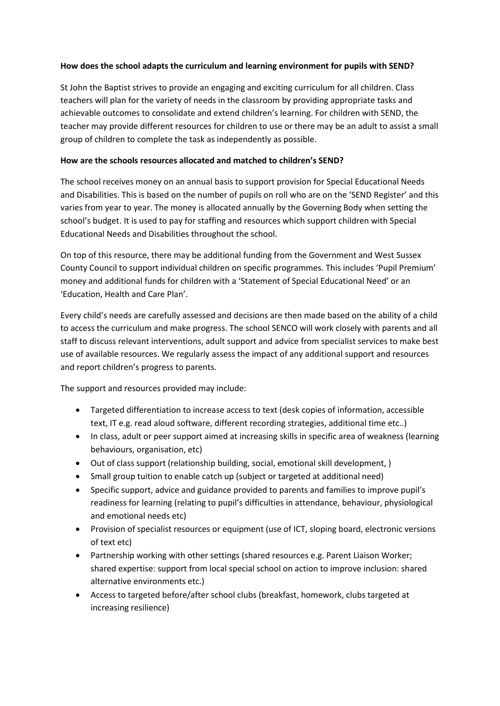### **How does the school adapts the curriculum and learning environment for pupils with SEND?**

St John the Baptist strives to provide an engaging and exciting curriculum for all children. Class teachers will plan for the variety of needs in the classroom by providing appropriate tasks and achievable outcomes to consolidate and extend children's learning. For children with SEND, the teacher may provide different resources for children to use or there may be an adult to assist a small group of children to complete the task as independently as possible.

#### **How are the schools resources allocated and matched to children's SEND?**

The school receives money on an annual basis to support provision for Special Educational Needs and Disabilities. This is based on the number of pupils on roll who are on the 'SEND Register' and this varies from year to year. The money is allocated annually by the Governing Body when setting the school's budget. It is used to pay for staffing and resources which support children with Special Educational Needs and Disabilities throughout the school.

On top of this resource, there may be additional funding from the Government and West Sussex County Council to support individual children on specific programmes. This includes 'Pupil Premium' money and additional funds for children with a 'Statement of Special Educational Need' or an 'Education, Health and Care Plan'.

Every child's needs are carefully assessed and decisions are then made based on the ability of a child to access the curriculum and make progress. The school SENCO will work closely with parents and all staff to discuss relevant interventions, adult support and advice from specialist services to make best use of available resources. We regularly assess the impact of any additional support and resources and report children's progress to parents.

The support and resources provided may include:

- Targeted differentiation to increase access to text (desk copies of information, accessible text, IT e.g. read aloud software, different recording strategies, additional time etc..)
- In class, adult or peer support aimed at increasing skills in specific area of weakness (learning behaviours, organisation, etc)
- Out of class support (relationship building, social, emotional skill development, )
- Small group tuition to enable catch up (subject or targeted at additional need)
- Specific support, advice and guidance provided to parents and families to improve pupil's readiness for learning (relating to pupil's difficulties in attendance, behaviour, physiological and emotional needs etc)
- Provision of specialist resources or equipment (use of ICT, sloping board, electronic versions of text etc)
- Partnership working with other settings (shared resources e.g. Parent Liaison Worker; shared expertise: support from local special school on action to improve inclusion: shared alternative environments etc.)
- Access to targeted before/after school clubs (breakfast, homework, clubs targeted at increasing resilience)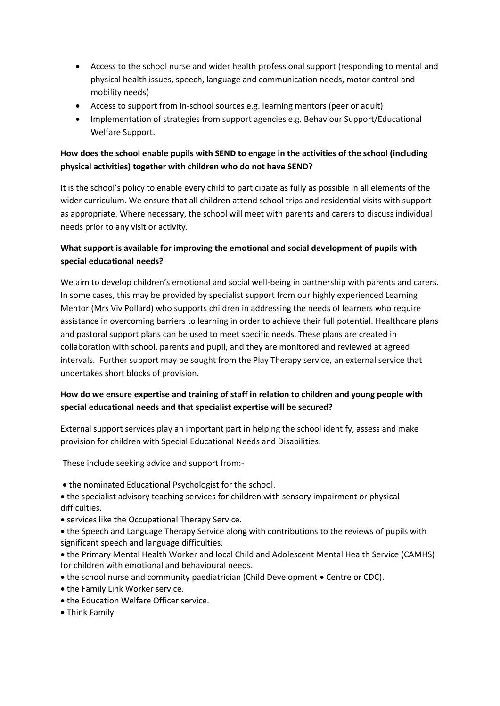- Access to the school nurse and wider health professional support (responding to mental and physical health issues, speech, language and communication needs, motor control and mobility needs)
- Access to support from in-school sources e.g. learning mentors (peer or adult)
- Implementation of strategies from support agencies e.g. Behaviour Support/Educational Welfare Support.

# **How does the school enable pupils with SEND to engage in the activities of the school (including physical activities) together with children who do not have SEND?**

It is the school's policy to enable every child to participate as fully as possible in all elements of the wider curriculum. We ensure that all children attend school trips and residential visits with support as appropriate. Where necessary, the school will meet with parents and carers to discuss individual needs prior to any visit or activity.

## **What support is available for improving the emotional and social development of pupils with special educational needs?**

We aim to develop children's emotional and social well-being in partnership with parents and carers. In some cases, this may be provided by specialist support from our highly experienced Learning Mentor (Mrs Viv Pollard) who supports children in addressing the needs of learners who require assistance in overcoming barriers to learning in order to achieve their full potential. Healthcare plans and pastoral support plans can be used to meet specific needs. These plans are created in collaboration with school, parents and pupil, and they are monitored and reviewed at agreed intervals. Further support may be sought from the Play Therapy service, an external service that undertakes short blocks of provision.

# **How do we ensure expertise and training of staff in relation to children and young people with special educational needs and that specialist expertise will be secured?**

External support services play an important part in helping the school identify, assess and make provision for children with Special Educational Needs and Disabilities.

These include seeking advice and support from:-

- the nominated Educational Psychologist for the school.
- the specialist advisory teaching services for children with sensory impairment or physical difficulties.
- services like the Occupational Therapy Service.
- the Speech and Language Therapy Service along with contributions to the reviews of pupils with significant speech and language difficulties.
- the Primary Mental Health Worker and local Child and Adolescent Mental Health Service (CAMHS) for children with emotional and behavioural needs.
- the school nurse and community paediatrician (Child Development Centre or CDC).
- the Family Link Worker service.
- the Education Welfare Officer service.
- Think Family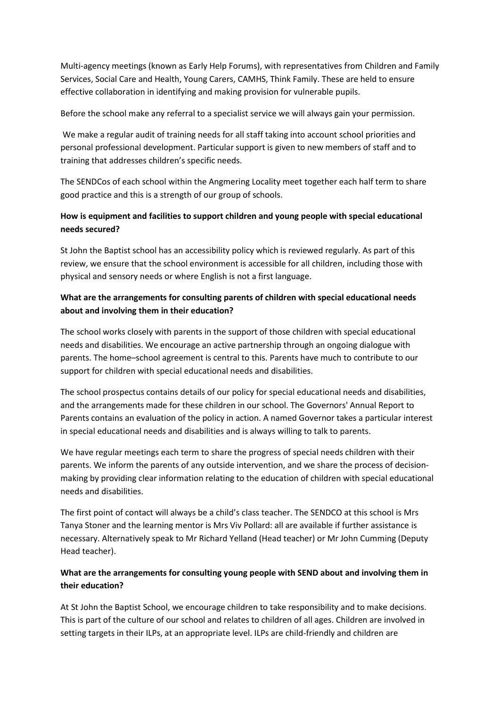Multi-agency meetings (known as Early Help Forums), with representatives from Children and Family Services, Social Care and Health, Young Carers, CAMHS, Think Family. These are held to ensure effective collaboration in identifying and making provision for vulnerable pupils.

Before the school make any referral to a specialist service we will always gain your permission.

We make a regular audit of training needs for all staff taking into account school priorities and personal professional development. Particular support is given to new members of staff and to training that addresses children's specific needs.

The SENDCos of each school within the Angmering Locality meet together each half term to share good practice and this is a strength of our group of schools.

# **How is equipment and facilities to support children and young people with special educational needs secured?**

St John the Baptist school has an accessibility policy which is reviewed regularly. As part of this review, we ensure that the school environment is accessible for all children, including those with physical and sensory needs or where English is not a first language.

# **What are the arrangements for consulting parents of children with special educational needs about and involving them in their education?**

The school works closely with parents in the support of those children with special educational needs and disabilities. We encourage an active partnership through an ongoing dialogue with parents. The home–school agreement is central to this. Parents have much to contribute to our support for children with special educational needs and disabilities.

The school prospectus contains details of our policy for special educational needs and disabilities, and the arrangements made for these children in our school. The Governors' Annual Report to Parents contains an evaluation of the policy in action. A named Governor takes a particular interest in special educational needs and disabilities and is always willing to talk to parents.

We have regular meetings each term to share the progress of special needs children with their parents. We inform the parents of any outside intervention, and we share the process of decisionmaking by providing clear information relating to the education of children with special educational needs and disabilities.

The first point of contact will always be a child's class teacher. The SENDCO at this school is Mrs Tanya Stoner and the learning mentor is Mrs Viv Pollard: all are available if further assistance is necessary. Alternatively speak to Mr Richard Yelland (Head teacher) or Mr John Cumming (Deputy Head teacher).

# **What are the arrangements for consulting young people with SEND about and involving them in their education?**

At St John the Baptist School, we encourage children to take responsibility and to make decisions. This is part of the culture of our school and relates to children of all ages. Children are involved in setting targets in their ILPs, at an appropriate level. ILPs are child-friendly and children are